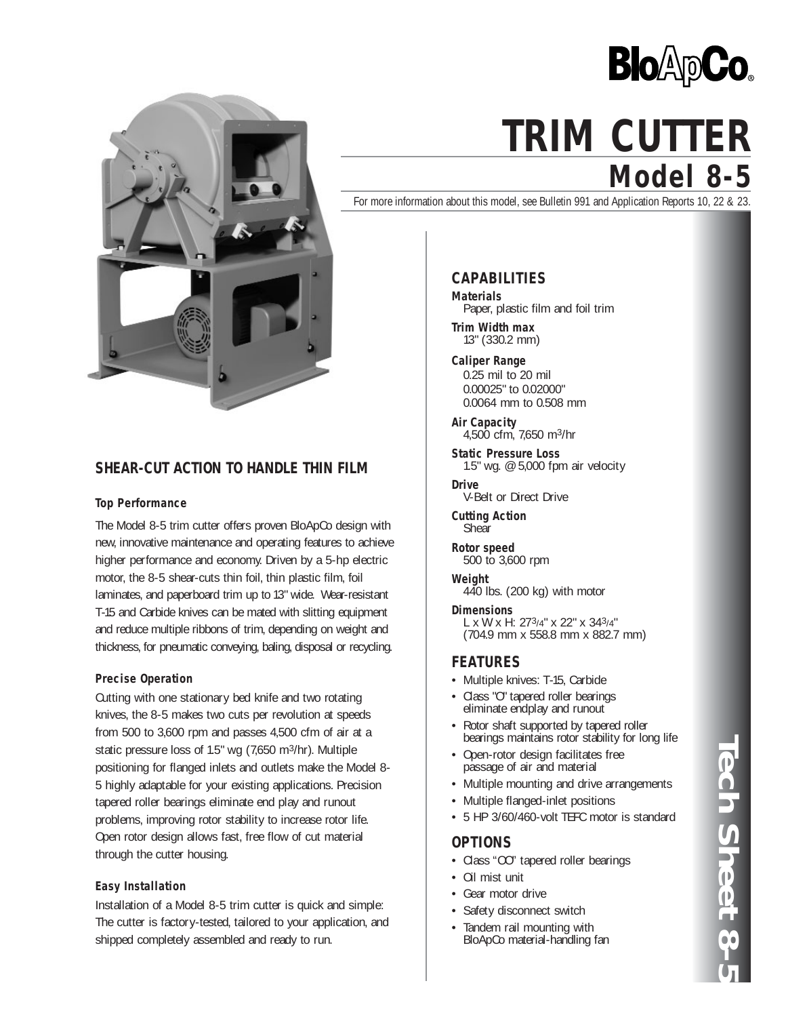



# **SHEAR-CUT ACTION TO HANDLE THIN FILM**

### **Top Performance**

The Model 8-5 trim cutter offers proven BloApCo design with new, innovative maintenance and operating features to achieve higher performance and economy. Driven by a 5-hp electric motor, the 8-5 shear-cuts thin foil, thin plastic film, foil laminates, and paperboard trim up to 13" wide. Wear-resistant T-15 and Carbide knives can be mated with slitting equipment and reduce multiple ribbons of trim, depending on weight and thickness, for pneumatic conveying, baling, disposal or recycling.

### **Precise Operation**

Cutting with one stationary bed knife and two rotating knives, the 8-5 makes two cuts per revolution at speeds from 500 to 3,600 rpm and passes 4,500 cfm of air at a static pressure loss of 1.5" wg (7,650 m3/hr). Multiple positioning for flanged inlets and outlets make the Model 8- 5 highly adaptable for your existing applications. Precision tapered roller bearings eliminate end play and runout problems, improving rotor stability to increase rotor life. Open rotor design allows fast, free flow of cut material through the cutter housing.

### **Easy Installation**

Installation of a Model 8-5 trim cutter is quick and simple: The cutter is factory-tested, tailored to your application, and shipped completely assembled and ready to run.

# **Model 8-5 TRIM CUTTER**

For more information about this model, see Bulletin 991 and Application Reports 10, 22 & 23.

# **CAPABILITIES**

**Materials** Paper, plastic film and foil trim

**Trim Width max** 13" (330.2 mm)

**Caliper Range** 0.25 mil to 20 mil 0.00025" to 0.02000" 0.0064 mm to 0.508 mm

**Air Capacity** 4,500 cfm, 7,650 m3/hr

**Static Pressure Loss** 1.5" wg. @ 5,000 fpm air velocity

**Drive** V-Belt or Direct Drive

**Cutting Action Shear** 

**Rotor speed** 500 to 3,600 rpm

**Weight** 440 lbs. (200 kg) with motor

**Dimensions**<br>L x W x H: 27<sup>3</sup>/4" x 22" x 34<sup>3</sup>/4" (704.9 mm x 558.8 mm x 882.7 mm)

## **FEATURES**

- Multiple knives: T-15, Carbide
- Class "O" tapered roller bearings eliminate endplay and runout
- Rotor shaft supported by tapered roller bearings maintains rotor stability for long life
- Open-rotor design facilitates free passage of air and material
- Multiple mounting and drive arrangements
- Multiple flanged-inlet positions
- 5 HP 3/60/460-volt TEFC motor is standard

## **OPTIONS**

- Class "OO" tapered roller bearings
- Oil mist unit
- Gear motor drive
- Safety disconnect switch
- Tandem rail mounting with BloApCo material-handling fan